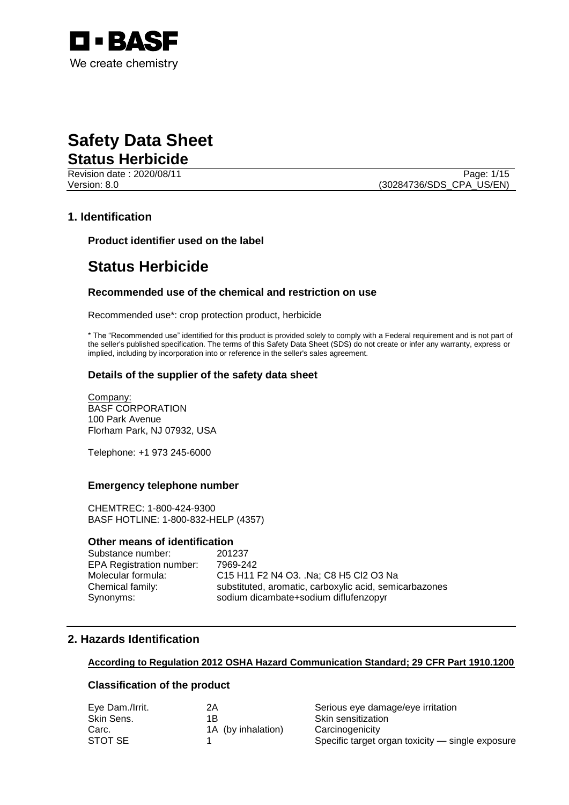

## **Safety Data Sheet Status Herbicide**

Revision date : 2020/08/11 Page: 1/15 Version: 8.0 (30284736/SDS\_CPA\_US/EN)

## **1. Identification**

**Product identifier used on the label**

## **Status Herbicide**

### **Recommended use of the chemical and restriction on use**

Recommended use\*: crop protection product, herbicide

\* The "Recommended use" identified for this product is provided solely to comply with a Federal requirement and is not part of the seller's published specification. The terms of this Safety Data Sheet (SDS) do not create or infer any warranty, express or implied, including by incorporation into or reference in the seller's sales agreement.

### **Details of the supplier of the safety data sheet**

Company: BASF CORPORATION 100 Park Avenue Florham Park, NJ 07932, USA

Telephone: +1 973 245-6000

#### **Emergency telephone number**

CHEMTREC: 1-800-424-9300 BASF HOTLINE: 1-800-832-HELP (4357)

#### **Other means of identification**

Substance number: 201237 EPA Registration number: 7969-242 Molecular formula: C15 H11 F2 N4 O3. .Na; C8 H5 Cl2 O3 Na Chemical family: substituted, aromatic, carboxylic acid, semicarbazones Synonyms: sodium dicambate+sodium diflufenzopyr

## **2. Hazards Identification**

#### **According to Regulation 2012 OSHA Hazard Communication Standard; 29 CFR Part 1910.1200**

#### **Classification of the product**

| Eye Dam./Irrit. | 2Α                 | Serious eye damage/eye irritation                |
|-----------------|--------------------|--------------------------------------------------|
| Skin Sens.      | 1Β                 | Skin sensitization                               |
| Carc.           | 1A (by inhalation) | Carcinogenicity                                  |
| STOT SE         |                    | Specific target organ toxicity - single exposure |
|                 |                    |                                                  |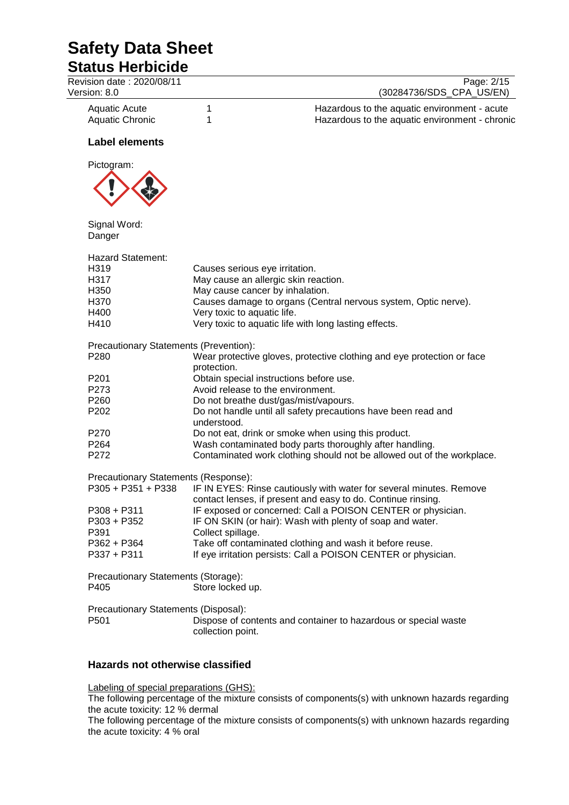## **Status Herbicide**

| Revision date: 2020/08/11<br>Version: 8.0                       | Page: 2/15<br>(30284736/SDS_CPA_US/EN)                                                                   |  |
|-----------------------------------------------------------------|----------------------------------------------------------------------------------------------------------|--|
| <b>Aquatic Acute</b><br><b>Aquatic Chronic</b>                  | 1<br>Hazardous to the aquatic environment - acute<br>1<br>Hazardous to the aquatic environment - chronic |  |
| <b>Label elements</b>                                           |                                                                                                          |  |
| Pictogram:                                                      |                                                                                                          |  |
| Signal Word:<br>Danger                                          |                                                                                                          |  |
| <b>Hazard Statement:</b>                                        |                                                                                                          |  |
| H319                                                            | Causes serious eye irritation.                                                                           |  |
| H317                                                            | May cause an allergic skin reaction.                                                                     |  |
| H350                                                            | May cause cancer by inhalation.                                                                          |  |
| H370                                                            | Causes damage to organs (Central nervous system, Optic nerve).                                           |  |
| H400                                                            | Very toxic to aquatic life.                                                                              |  |
| H410                                                            | Very toxic to aquatic life with long lasting effects.                                                    |  |
| Precautionary Statements (Prevention):<br>P280                  | Wear protective gloves, protective clothing and eye protection or face<br>protection.                    |  |
| P <sub>201</sub>                                                | Obtain special instructions before use.                                                                  |  |
| P273                                                            | Avoid release to the environment.                                                                        |  |
| P260                                                            | Do not breathe dust/gas/mist/vapours.                                                                    |  |
| P <sub>202</sub>                                                | Do not handle until all safety precautions have been read and<br>understood.                             |  |
| P270                                                            | Do not eat, drink or smoke when using this product.                                                      |  |
| P <sub>264</sub>                                                | Wash contaminated body parts thoroughly after handling.                                                  |  |
| P272                                                            | Contaminated work clothing should not be allowed out of the workplace.                                   |  |
| Precautionary Statements (Response):                            |                                                                                                          |  |
| $P305 + P351 + P338$                                            | IF IN EYES: Rinse cautiously with water for several minutes. Remove                                      |  |
|                                                                 | contact lenses, if present and easy to do. Continue rinsing.                                             |  |
| $P308 + P311$                                                   | IF exposed or concerned: Call a POISON CENTER or physician.                                              |  |
| P303 + P352                                                     | IF ON SKIN (or hair): Wash with plenty of soap and water.                                                |  |
| P391                                                            | Collect spillage.                                                                                        |  |
| P362 + P364                                                     | Take off contaminated clothing and wash it before reuse.                                                 |  |
| P337 + P311                                                     | If eye irritation persists: Call a POISON CENTER or physician.                                           |  |
| Precautionary Statements (Storage):<br>P405<br>Store locked up. |                                                                                                          |  |
| Precautionary Statements (Disposal):<br>P501                    | Dispose of contents and container to hazardous or special waste<br>collection point.                     |  |

## **Hazards not otherwise classified**

Labeling of special preparations (GHS):

The following percentage of the mixture consists of components(s) with unknown hazards regarding the acute toxicity: 12 % dermal

The following percentage of the mixture consists of components(s) with unknown hazards regarding the acute toxicity: 4 % oral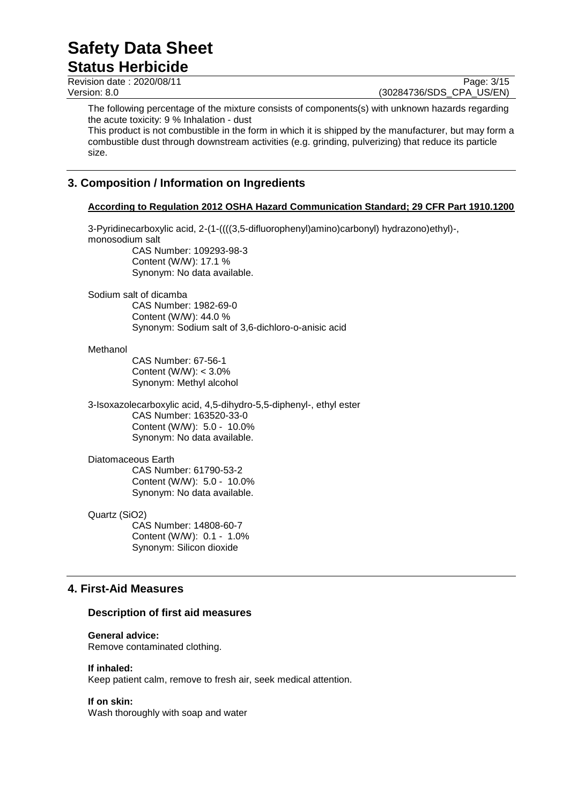## **Safety Data Sheet Status Herbicide**

Revision date : 2020/08/11 Page: 3/15<br>
Version: 8.0 (30284736/SDS CPA US/EN)

(30284736/SDS\_CPA\_US/EN)

The following percentage of the mixture consists of components(s) with unknown hazards regarding the acute toxicity: 9 % Inhalation - dust

This product is not combustible in the form in which it is shipped by the manufacturer, but may form a combustible dust through downstream activities (e.g. grinding, pulverizing) that reduce its particle size.

## **3. Composition / Information on Ingredients**

### **According to Regulation 2012 OSHA Hazard Communication Standard; 29 CFR Part 1910.1200**

3-Pyridinecarboxylic acid, 2-(1-((((3,5-difluorophenyl)amino)carbonyl) hydrazono)ethyl)-, monosodium salt CAS Number: 109293-98-3 Content (W/W): 17.1 % Synonym: No data available.

Sodium salt of dicamba CAS Number: 1982-69-0

Content (W/W): 44.0 % Synonym: Sodium salt of 3,6-dichloro-o-anisic acid

### Methanol

CAS Number: 67-56-1 Content (W/W): < 3.0% Synonym: Methyl alcohol

3-Isoxazolecarboxylic acid, 4,5-dihydro-5,5-diphenyl-, ethyl ester CAS Number: 163520-33-0 Content (W/W): 5.0 - 10.0% Synonym: No data available.

### Diatomaceous Earth

CAS Number: 61790-53-2 Content (W/W): 5.0 - 10.0% Synonym: No data available.

Quartz (SiO2) CAS Number: 14808-60-7

Content (W/W): 0.1 - 1.0% Synonym: Silicon dioxide

## **4. First-Aid Measures**

### **Description of first aid measures**

### **General advice:**

Remove contaminated clothing.

### **If inhaled:**

Keep patient calm, remove to fresh air, seek medical attention.

#### **If on skin:**

Wash thoroughly with soap and water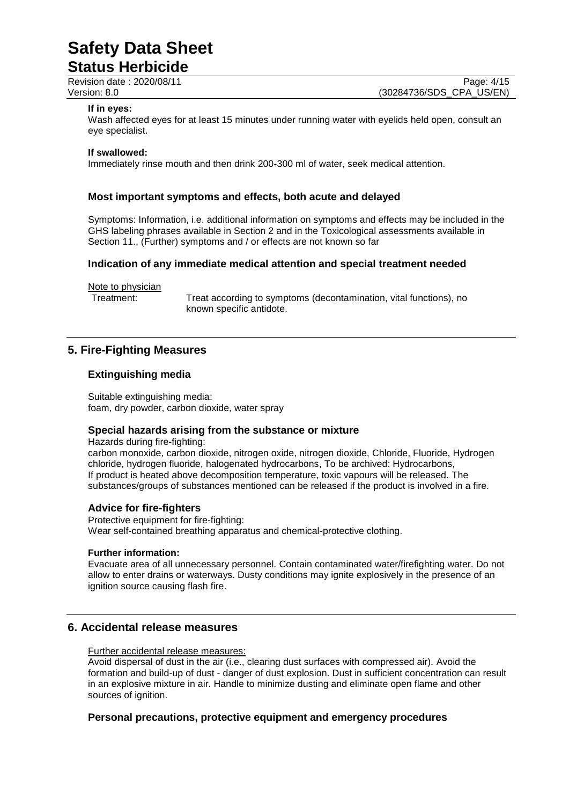## **Status Herbicide**

Revision date : 2020/08/11 Page: 4/15<br>
Version: 8.0 (30284736/SDS CPA US/EN) (30284736/SDS\_CPA\_US/EN)

#### **If in eyes:**

Wash affected eyes for at least 15 minutes under running water with eyelids held open, consult an eye specialist.

#### **If swallowed:**

Immediately rinse mouth and then drink 200-300 ml of water, seek medical attention.

### **Most important symptoms and effects, both acute and delayed**

Symptoms: Information, i.e. additional information on symptoms and effects may be included in the GHS labeling phrases available in Section 2 and in the Toxicological assessments available in Section 11., (Further) symptoms and / or effects are not known so far

### **Indication of any immediate medical attention and special treatment needed**

Note to physician

Treatment: Treat according to symptoms (decontamination, vital functions), no known specific antidote.

## **5. Fire-Fighting Measures**

### **Extinguishing media**

Suitable extinguishing media: foam, dry powder, carbon dioxide, water spray

### **Special hazards arising from the substance or mixture**

Hazards during fire-fighting:

carbon monoxide, carbon dioxide, nitrogen oxide, nitrogen dioxide, Chloride, Fluoride, Hydrogen chloride, hydrogen fluoride, halogenated hydrocarbons, To be archived: Hydrocarbons, If product is heated above decomposition temperature, toxic vapours will be released. The substances/groups of substances mentioned can be released if the product is involved in a fire.

#### **Advice for fire-fighters**

Protective equipment for fire-fighting: Wear self-contained breathing apparatus and chemical-protective clothing.

#### **Further information:**

Evacuate area of all unnecessary personnel. Contain contaminated water/firefighting water. Do not allow to enter drains or waterways. Dusty conditions may ignite explosively in the presence of an ignition source causing flash fire.

## **6. Accidental release measures**

Further accidental release measures:

Avoid dispersal of dust in the air (i.e., clearing dust surfaces with compressed air). Avoid the formation and build-up of dust - danger of dust explosion. Dust in sufficient concentration can result in an explosive mixture in air. Handle to minimize dusting and eliminate open flame and other sources of ignition.

### **Personal precautions, protective equipment and emergency procedures**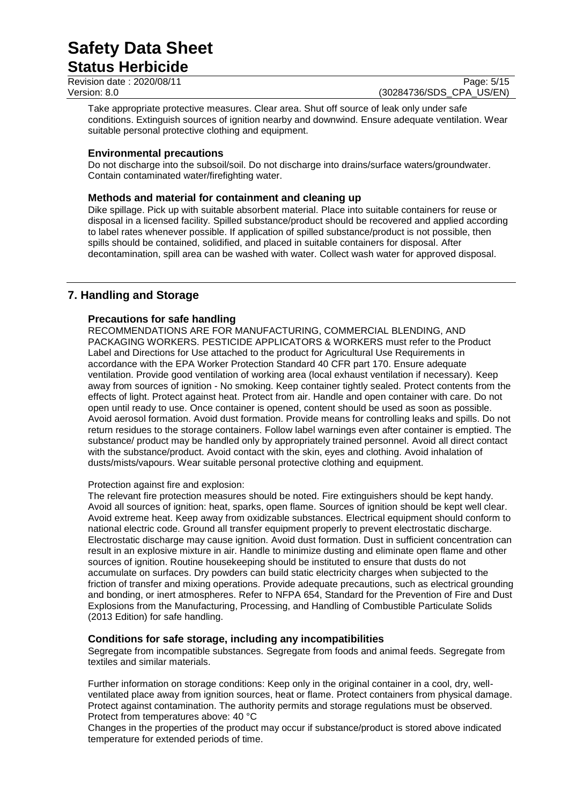## **Status Herbicide**

Revision date : 2020/08/11 Page: 5/15<br>
Version: 8.0 (30284736/SDS CPA US/EN)

(30284736/SDS\_CPA\_US/EN)

Take appropriate protective measures. Clear area. Shut off source of leak only under safe conditions. Extinguish sources of ignition nearby and downwind. Ensure adequate ventilation. Wear suitable personal protective clothing and equipment.

## **Environmental precautions**

Do not discharge into the subsoil/soil. Do not discharge into drains/surface waters/groundwater. Contain contaminated water/firefighting water.

### **Methods and material for containment and cleaning up**

Dike spillage. Pick up with suitable absorbent material. Place into suitable containers for reuse or disposal in a licensed facility. Spilled substance/product should be recovered and applied according to label rates whenever possible. If application of spilled substance/product is not possible, then spills should be contained, solidified, and placed in suitable containers for disposal. After decontamination, spill area can be washed with water. Collect wash water for approved disposal.

## **7. Handling and Storage**

## **Precautions for safe handling**

RECOMMENDATIONS ARE FOR MANUFACTURING, COMMERCIAL BLENDING, AND PACKAGING WORKERS. PESTICIDE APPLICATORS & WORKERS must refer to the Product Label and Directions for Use attached to the product for Agricultural Use Requirements in accordance with the EPA Worker Protection Standard 40 CFR part 170. Ensure adequate ventilation. Provide good ventilation of working area (local exhaust ventilation if necessary). Keep away from sources of ignition - No smoking. Keep container tightly sealed. Protect contents from the effects of light. Protect against heat. Protect from air. Handle and open container with care. Do not open until ready to use. Once container is opened, content should be used as soon as possible. Avoid aerosol formation. Avoid dust formation. Provide means for controlling leaks and spills. Do not return residues to the storage containers. Follow label warnings even after container is emptied. The substance/ product may be handled only by appropriately trained personnel. Avoid all direct contact with the substance/product. Avoid contact with the skin, eyes and clothing. Avoid inhalation of dusts/mists/vapours. Wear suitable personal protective clothing and equipment.

### Protection against fire and explosion:

The relevant fire protection measures should be noted. Fire extinguishers should be kept handy. Avoid all sources of ignition: heat, sparks, open flame. Sources of ignition should be kept well clear. Avoid extreme heat. Keep away from oxidizable substances. Electrical equipment should conform to national electric code. Ground all transfer equipment properly to prevent electrostatic discharge. Electrostatic discharge may cause ignition. Avoid dust formation. Dust in sufficient concentration can result in an explosive mixture in air. Handle to minimize dusting and eliminate open flame and other sources of ignition. Routine housekeeping should be instituted to ensure that dusts do not accumulate on surfaces. Dry powders can build static electricity charges when subjected to the friction of transfer and mixing operations. Provide adequate precautions, such as electrical grounding and bonding, or inert atmospheres. Refer to NFPA 654, Standard for the Prevention of Fire and Dust Explosions from the Manufacturing, Processing, and Handling of Combustible Particulate Solids (2013 Edition) for safe handling.

### **Conditions for safe storage, including any incompatibilities**

Segregate from incompatible substances. Segregate from foods and animal feeds. Segregate from textiles and similar materials.

Further information on storage conditions: Keep only in the original container in a cool, dry, wellventilated place away from ignition sources, heat or flame. Protect containers from physical damage. Protect against contamination. The authority permits and storage regulations must be observed. Protect from temperatures above: 40 °C

Changes in the properties of the product may occur if substance/product is stored above indicated temperature for extended periods of time.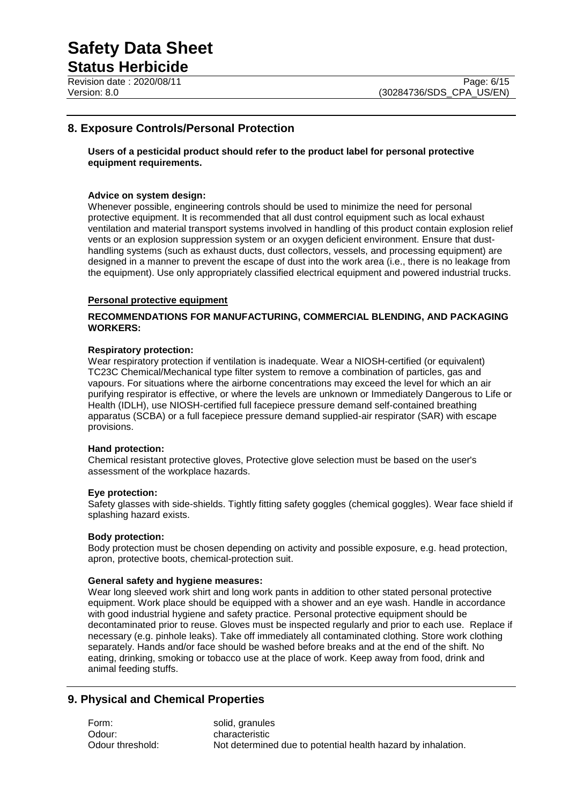## **Status Herbicide**

## **8. Exposure Controls/Personal Protection**

**Users of a pesticidal product should refer to the product label for personal protective equipment requirements.**

#### **Advice on system design:**

Whenever possible, engineering controls should be used to minimize the need for personal protective equipment. It is recommended that all dust control equipment such as local exhaust ventilation and material transport systems involved in handling of this product contain explosion relief vents or an explosion suppression system or an oxygen deficient environment. Ensure that dusthandling systems (such as exhaust ducts, dust collectors, vessels, and processing equipment) are designed in a manner to prevent the escape of dust into the work area (i.e., there is no leakage from the equipment). Use only appropriately classified electrical equipment and powered industrial trucks.

#### **Personal protective equipment**

#### **RECOMMENDATIONS FOR MANUFACTURING, COMMERCIAL BLENDING, AND PACKAGING WORKERS:**

#### **Respiratory protection:**

Wear respiratory protection if ventilation is inadequate. Wear a NIOSH-certified (or equivalent) TC23C Chemical/Mechanical type filter system to remove a combination of particles, gas and vapours. For situations where the airborne concentrations may exceed the level for which an air purifying respirator is effective, or where the levels are unknown or Immediately Dangerous to Life or Health (IDLH), use NIOSH-certified full facepiece pressure demand self-contained breathing apparatus (SCBA) or a full facepiece pressure demand supplied-air respirator (SAR) with escape provisions.

#### **Hand protection:**

Chemical resistant protective gloves, Protective glove selection must be based on the user's assessment of the workplace hazards.

#### **Eye protection:**

Safety glasses with side-shields. Tightly fitting safety goggles (chemical goggles). Wear face shield if splashing hazard exists.

#### **Body protection:**

Body protection must be chosen depending on activity and possible exposure, e.g. head protection, apron, protective boots, chemical-protection suit.

#### **General safety and hygiene measures:**

Wear long sleeved work shirt and long work pants in addition to other stated personal protective equipment. Work place should be equipped with a shower and an eye wash. Handle in accordance with good industrial hygiene and safety practice. Personal protective equipment should be decontaminated prior to reuse. Gloves must be inspected regularly and prior to each use. Replace if necessary (e.g. pinhole leaks). Take off immediately all contaminated clothing. Store work clothing separately. Hands and/or face should be washed before breaks and at the end of the shift. No eating, drinking, smoking or tobacco use at the place of work. Keep away from food, drink and animal feeding stuffs.

## **9. Physical and Chemical Properties**

Form: solid, granules Odour: characteristic Odour threshold: Not determined due to potential health hazard by inhalation.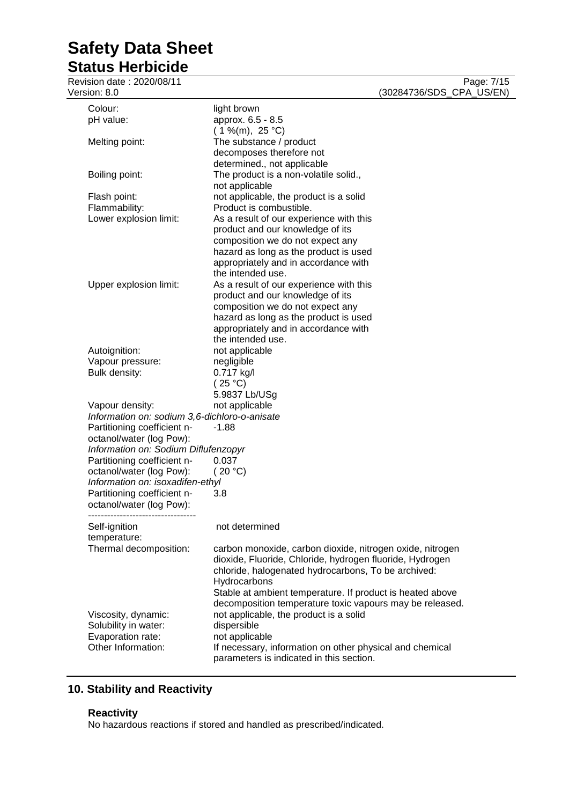## **Status Herbicide**

Revision date : 2020/08/11 Page: 7/15 Version: 8.0 (30284736/SDS\_CPA\_US/EN)

|                                        | Colour:<br>pH value:                          | light brown<br>approx. 6.5 - 8.5                                              |
|----------------------------------------|-----------------------------------------------|-------------------------------------------------------------------------------|
|                                        | Melting point:                                | $(1\%$ (m), 25 °C)<br>The substance / product                                 |
|                                        |                                               | decomposes therefore not<br>determined., not applicable                       |
|                                        | Boiling point:                                | The product is a non-volatile solid.,<br>not applicable                       |
|                                        | Flash point:                                  | not applicable, the product is a solid                                        |
|                                        | Flammability:                                 | Product is combustible.                                                       |
|                                        | Lower explosion limit:                        | As a result of our experience with this                                       |
|                                        |                                               | product and our knowledge of its                                              |
|                                        |                                               | composition we do not expect any                                              |
|                                        |                                               | hazard as long as the product is used<br>appropriately and in accordance with |
|                                        |                                               | the intended use.                                                             |
|                                        | Upper explosion limit:                        | As a result of our experience with this                                       |
|                                        |                                               | product and our knowledge of its                                              |
|                                        |                                               | composition we do not expect any                                              |
|                                        |                                               | hazard as long as the product is used                                         |
|                                        |                                               | appropriately and in accordance with                                          |
|                                        |                                               | the intended use.                                                             |
|                                        | Autoignition:                                 | not applicable                                                                |
|                                        | Vapour pressure:                              | negligible                                                                    |
|                                        | Bulk density:                                 | 0.717 kg/l                                                                    |
|                                        |                                               | (25 °C)<br>5.9837 Lb/USg                                                      |
|                                        | Vapour density:                               | not applicable                                                                |
|                                        | Information on: sodium 3,6-dichloro-o-anisate |                                                                               |
| Partitioning coefficient n-<br>$-1.88$ |                                               |                                                                               |
|                                        | octanol/water (log Pow):                      |                                                                               |
|                                        | Information on: Sodium Diflufenzopyr          |                                                                               |
|                                        | Partitioning coefficient n-                   | 0.037                                                                         |
|                                        | octanol/water (log Pow):                      | (20 °C)                                                                       |
|                                        | Information on: isoxadifen-ethyl              |                                                                               |
|                                        | Partitioning coefficient n-                   | 3.8                                                                           |
|                                        | octanol/water (log Pow):                      |                                                                               |
|                                        | Self-ignition                                 | not determined                                                                |
|                                        | temperature:                                  |                                                                               |
|                                        | Thermal decomposition:                        | carbon monoxide, carbon dioxide, nitrogen oxide, nitrogen                     |
|                                        |                                               | dioxide, Fluoride, Chloride, hydrogen fluoride, Hydrogen                      |
|                                        |                                               | chloride, halogenated hydrocarbons, To be archived:<br>Hydrocarbons           |
|                                        |                                               | Stable at ambient temperature. If product is heated above                     |
|                                        |                                               | decomposition temperature toxic vapours may be released.                      |
|                                        | Viscosity, dynamic:                           | not applicable, the product is a solid                                        |
|                                        | Solubility in water:                          | dispersible                                                                   |
|                                        | Evaporation rate:                             | not applicable                                                                |
|                                        | Other Information:                            | If necessary, information on other physical and chemical                      |
|                                        |                                               | parameters is indicated in this section.                                      |

## **10. Stability and Reactivity**

### **Reactivity**

No hazardous reactions if stored and handled as prescribed/indicated.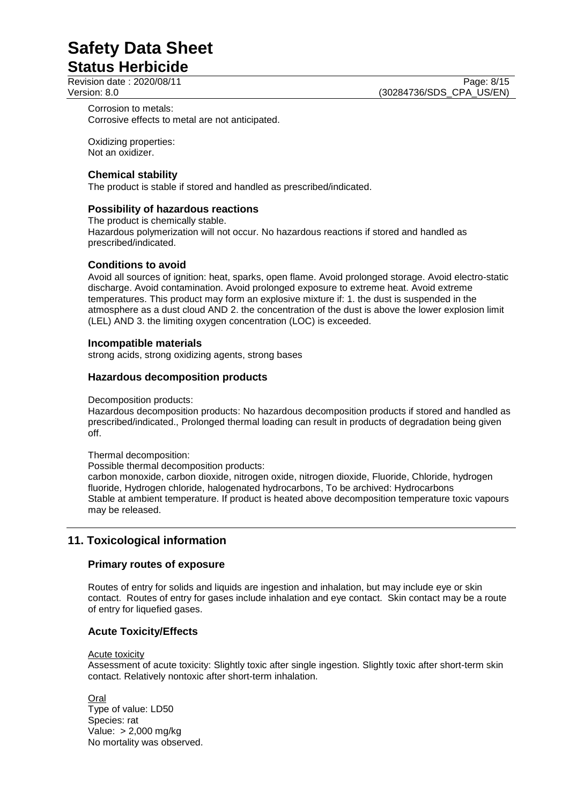## **Status Herbicide**

Corrosion to metals: Corrosive effects to metal are not anticipated.

Oxidizing properties: Not an oxidizer.

## **Chemical stability**

The product is stable if stored and handled as prescribed/indicated.

## **Possibility of hazardous reactions**

The product is chemically stable. Hazardous polymerization will not occur. No hazardous reactions if stored and handled as prescribed/indicated.

## **Conditions to avoid**

Avoid all sources of ignition: heat, sparks, open flame. Avoid prolonged storage. Avoid electro-static discharge. Avoid contamination. Avoid prolonged exposure to extreme heat. Avoid extreme temperatures. This product may form an explosive mixture if: 1. the dust is suspended in the atmosphere as a dust cloud AND 2. the concentration of the dust is above the lower explosion limit (LEL) AND 3. the limiting oxygen concentration (LOC) is exceeded.

## **Incompatible materials**

strong acids, strong oxidizing agents, strong bases

## **Hazardous decomposition products**

Decomposition products:

Hazardous decomposition products: No hazardous decomposition products if stored and handled as prescribed/indicated., Prolonged thermal loading can result in products of degradation being given off.

### Thermal decomposition:

Possible thermal decomposition products:

carbon monoxide, carbon dioxide, nitrogen oxide, nitrogen dioxide, Fluoride, Chloride, hydrogen fluoride, Hydrogen chloride, halogenated hydrocarbons, To be archived: Hydrocarbons Stable at ambient temperature. If product is heated above decomposition temperature toxic vapours may be released.

## **11. Toxicological information**

### **Primary routes of exposure**

Routes of entry for solids and liquids are ingestion and inhalation, but may include eye or skin contact. Routes of entry for gases include inhalation and eye contact. Skin contact may be a route of entry for liquefied gases.

## **Acute Toxicity/Effects**

### Acute toxicity

Assessment of acute toxicity: Slightly toxic after single ingestion. Slightly toxic after short-term skin contact. Relatively nontoxic after short-term inhalation.

**Oral** Type of value: LD50 Species: rat Value: > 2,000 mg/kg No mortality was observed.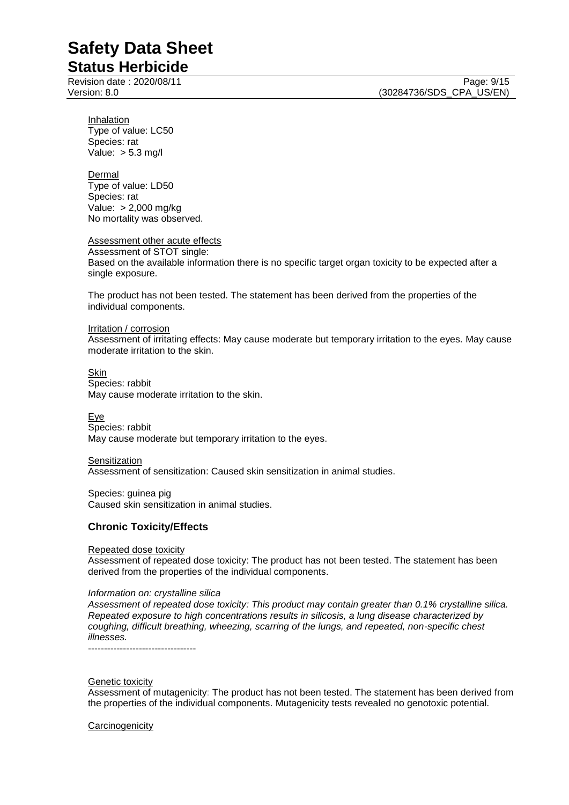## **Status Herbicide**

**Inhalation** Type of value: LC50 Species: rat Value: > 5.3 mg/l

Dermal Type of value: LD50 Species: rat Value: > 2,000 mg/kg No mortality was observed.

Assessment other acute effects

Assessment of STOT single: Based on the available information there is no specific target organ toxicity to be expected after a single exposure.

The product has not been tested. The statement has been derived from the properties of the individual components.

#### Irritation / corrosion

Assessment of irritating effects: May cause moderate but temporary irritation to the eyes. May cause moderate irritation to the skin.

Skin Species: rabbit May cause moderate irritation to the skin.

**Eye** Species: rabbit May cause moderate but temporary irritation to the eyes.

Sensitization Assessment of sensitization: Caused skin sensitization in animal studies.

Species: guinea pig Caused skin sensitization in animal studies.

### **Chronic Toxicity/Effects**

Repeated dose toxicity

Assessment of repeated dose toxicity: The product has not been tested. The statement has been derived from the properties of the individual components.

#### *Information on: crystalline silica*

*Assessment of repeated dose toxicity: This product may contain greater than 0.1% crystalline silica. Repeated exposure to high concentrations results in silicosis, a lung disease characterized by coughing, difficult breathing, wheezing, scarring of the lungs, and repeated, non-specific chest illnesses.*

----------------------------------

#### Genetic toxicity

Assessment of mutagenicity: The product has not been tested. The statement has been derived from the properties of the individual components. Mutagenicity tests revealed no genotoxic potential.

#### **Carcinogenicity**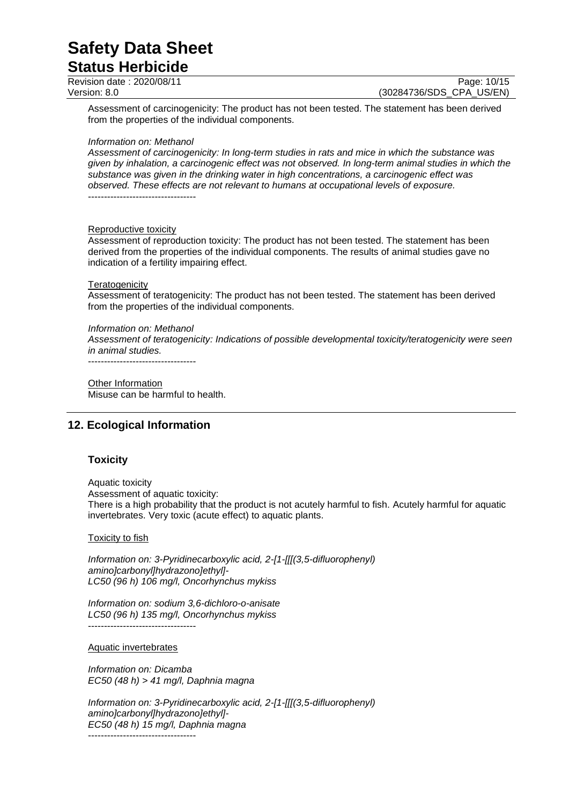### **Status Herbicide** Revision date : 2020/08/11 Page: 10/15<br>Version: 8.0 (30284736/SDS CPA US/EN) (30284736/SDS CPA US/EN)

Assessment of carcinogenicity: The product has not been tested. The statement has been derived from the properties of the individual components.

#### *Information on: Methanol*

*Assessment of carcinogenicity: In long-term studies in rats and mice in which the substance was given by inhalation, a carcinogenic effect was not observed. In long-term animal studies in which the substance was given in the drinking water in high concentrations, a carcinogenic effect was observed. These effects are not relevant to humans at occupational levels of exposure.*

----------------------------------

#### Reproductive toxicity

Assessment of reproduction toxicity: The product has not been tested. The statement has been derived from the properties of the individual components. The results of animal studies gave no indication of a fertility impairing effect.

#### **Teratogenicity**

Assessment of teratogenicity: The product has not been tested. The statement has been derived from the properties of the individual components.

#### *Information on: Methanol*

*Assessment of teratogenicity: Indications of possible developmental toxicity/teratogenicity were seen in animal studies.*

----------------------------------

Other Information Misuse can be harmful to health.

## **12. Ecological Information**

### **Toxicity**

Aquatic toxicity Assessment of aquatic toxicity: There is a high probability that the product is not acutely harmful to fish. Acutely harmful for aquatic invertebrates. Very toxic (acute effect) to aquatic plants.

#### **Toxicity to fish**

*Information on: 3-Pyridinecarboxylic acid, 2-[1-[[[(3,5-difluorophenyl) amino]carbonyl]hydrazono]ethyl]- LC50 (96 h) 106 mg/l, Oncorhynchus mykiss*

*Information on: sodium 3,6-dichloro-o-anisate LC50 (96 h) 135 mg/l, Oncorhynchus mykiss* ----------------------------------

#### Aquatic invertebrates

*Information on: Dicamba EC50 (48 h) > 41 mg/l, Daphnia magna*

*Information on: 3-Pyridinecarboxylic acid, 2-[1-[[[(3,5-difluorophenyl) amino]carbonyl]hydrazono]ethyl]- EC50 (48 h) 15 mg/l, Daphnia magna* ----------------------------------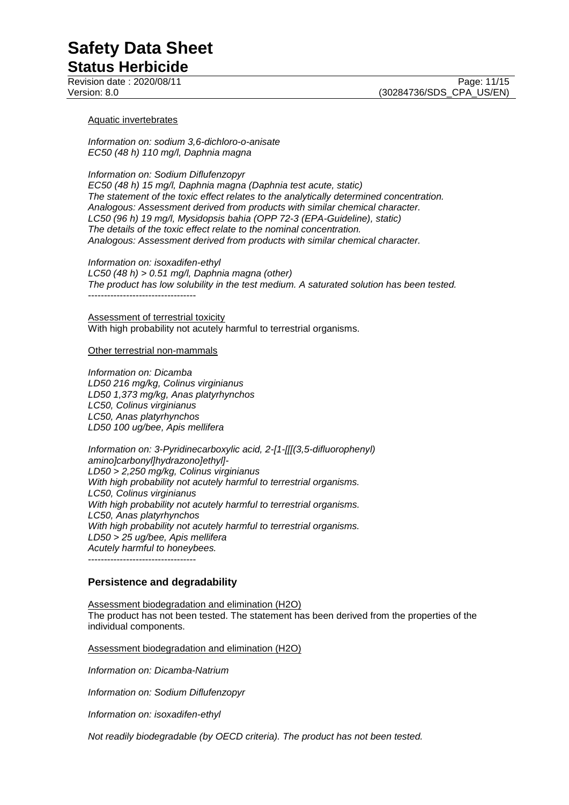## **Status Herbicide**

Aquatic invertebrates

*Information on: sodium 3,6-dichloro-o-anisate EC50 (48 h) 110 mg/l, Daphnia magna*

*Information on: Sodium Diflufenzopyr*

*EC50 (48 h) 15 mg/l, Daphnia magna (Daphnia test acute, static) The statement of the toxic effect relates to the analytically determined concentration. Analogous: Assessment derived from products with similar chemical character. LC50 (96 h) 19 mg/l, Mysidopsis bahia (OPP 72-3 (EPA-Guideline), static) The details of the toxic effect relate to the nominal concentration. Analogous: Assessment derived from products with similar chemical character.*

*Information on: isoxadifen-ethyl LC50 (48 h) > 0.51 mg/l, Daphnia magna (other) The product has low solubility in the test medium. A saturated solution has been tested.* ----------------------------------

Assessment of terrestrial toxicity With high probability not acutely harmful to terrestrial organisms.

Other terrestrial non-mammals

*Information on: Dicamba LD50 216 mg/kg, Colinus virginianus LD50 1,373 mg/kg, Anas platyrhynchos LC50, Colinus virginianus LC50, Anas platyrhynchos LD50 100 ug/bee, Apis mellifera*

*Information on: 3-Pyridinecarboxylic acid, 2-[1-[[[(3,5-difluorophenyl) amino]carbonyl]hydrazono]ethyl]- LD50 > 2,250 mg/kg, Colinus virginianus With high probability not acutely harmful to terrestrial organisms. LC50, Colinus virginianus With high probability not acutely harmful to terrestrial organisms. LC50, Anas platyrhynchos With high probability not acutely harmful to terrestrial organisms. LD50 > 25 ug/bee, Apis mellifera Acutely harmful to honeybees.* ----------------------------------

### **Persistence and degradability**

Assessment biodegradation and elimination (H2O) The product has not been tested. The statement has been derived from the properties of the individual components.

Assessment biodegradation and elimination (H2O)

*Information on: Dicamba-Natrium*

*Information on: Sodium Diflufenzopyr*

*Information on: isoxadifen-ethyl*

*Not readily biodegradable (by OECD criteria). The product has not been tested.*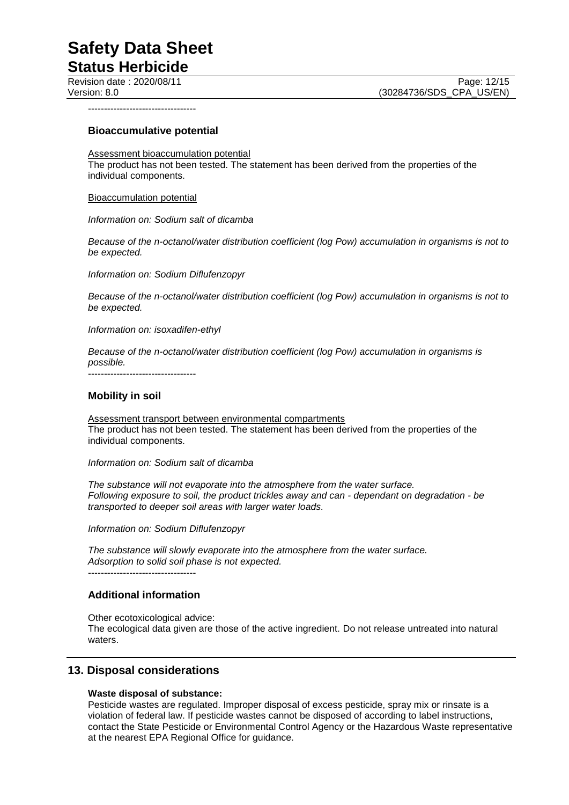**Status Herbicide**

Revision date : 2020/08/11 Page: 12/15<br>Version: 8.0 (30284736/SDS CPA US/EN) (30284736/SDS\_CPA\_US/EN)

----------------------------------

#### **Bioaccumulative potential**

Assessment bioaccumulation potential The product has not been tested. The statement has been derived from the properties of the individual components.

Bioaccumulation potential

*Information on: Sodium salt of dicamba*

*Because of the n-octanol/water distribution coefficient (log Pow) accumulation in organisms is not to be expected.*

*Information on: Sodium Diflufenzopyr*

*Because of the n-octanol/water distribution coefficient (log Pow) accumulation in organisms is not to be expected.*

*Information on: isoxadifen-ethyl*

*Because of the n-octanol/water distribution coefficient (log Pow) accumulation in organisms is possible.*

----------------------------------

#### **Mobility in soil**

Assessment transport between environmental compartments The product has not been tested. The statement has been derived from the properties of the individual components.

*Information on: Sodium salt of dicamba*

*The substance will not evaporate into the atmosphere from the water surface. Following exposure to soil, the product trickles away and can - dependant on degradation - be transported to deeper soil areas with larger water loads.*

*Information on: Sodium Diflufenzopyr*

*The substance will slowly evaporate into the atmosphere from the water surface. Adsorption to solid soil phase is not expected.* ----------------------------------

## **Additional information**

Other ecotoxicological advice: The ecological data given are those of the active ingredient. Do not release untreated into natural waters.

### **13. Disposal considerations**

#### **Waste disposal of substance:**

Pesticide wastes are regulated. Improper disposal of excess pesticide, spray mix or rinsate is a violation of federal law. If pesticide wastes cannot be disposed of according to label instructions, contact the State Pesticide or Environmental Control Agency or the Hazardous Waste representative at the nearest EPA Regional Office for guidance.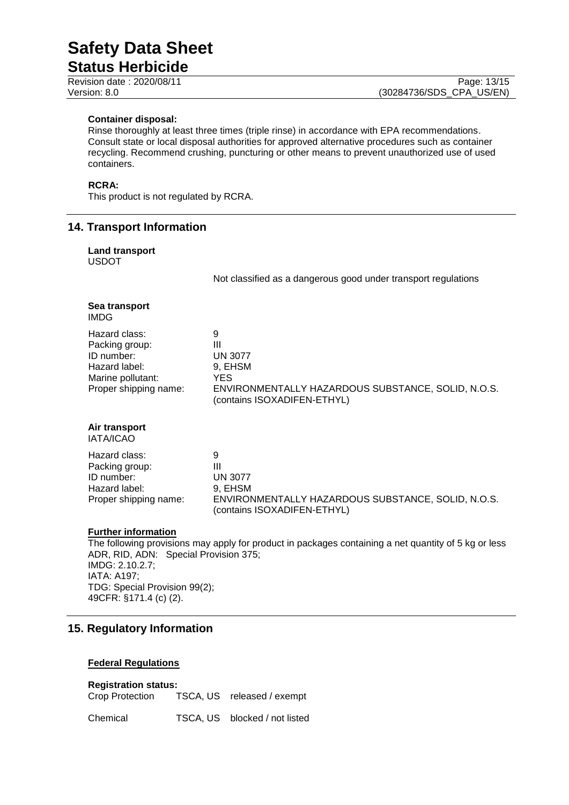## **Status Herbicide**

#### **Container disposal:**

Rinse thoroughly at least three times (triple rinse) in accordance with EPA recommendations. Consult state or local disposal authorities for approved alternative procedures such as container recycling. Recommend crushing, puncturing or other means to prevent unauthorized use of used containers.

## **RCRA:**

This product is not regulated by RCRA.

## **14. Transport Information**

| <b>Land transport</b><br><b>USDOT</b>                                                                                                                                       |                                                                                                                                                     |  |  |
|-----------------------------------------------------------------------------------------------------------------------------------------------------------------------------|-----------------------------------------------------------------------------------------------------------------------------------------------------|--|--|
|                                                                                                                                                                             | Not classified as a dangerous good under transport regulations                                                                                      |  |  |
| Sea transport<br><b>IMDG</b>                                                                                                                                                |                                                                                                                                                     |  |  |
| Hazard class:<br>Packing group:<br>ID number:<br>Hazard label:<br>Marine pollutant:<br>Proper shipping name:                                                                | 9<br>$\mathbf{III}$<br><b>UN 3077</b><br>9, EHSM<br><b>YES</b><br>ENVIRONMENTALLY HAZARDOUS SUBSTANCE, SOLID, N.O.S.<br>(contains ISOXADIFEN-ETHYL) |  |  |
| Air transport<br>IATA/ICAO                                                                                                                                                  |                                                                                                                                                     |  |  |
| Hazard class:<br>Packing group:<br>ID number:<br>Hazard label:<br>Proper shipping name:                                                                                     | 9<br>$\mathbf{III}$<br><b>UN 3077</b><br>9, EHSM<br>ENVIRONMENTALLY HAZARDOUS SUBSTANCE, SOLID, N.O.S.<br>(contains ISOXADIFEN-ETHYL)               |  |  |
| <b>Further information</b><br>The following provisions may apply for product in packages containing a net quantity of 5 kg or less<br>ADR, RID, ADN: Special Provision 375; |                                                                                                                                                     |  |  |

IMDG: 2.10.2.7; IATA: A197; TDG: Special Provision 99(2); 49CFR: §171.4 (c) (2).

## **15. Regulatory Information**

#### **Federal Regulations**

## **Registration status:**

TSCA, US released / exempt

Chemical TSCA, US blocked / not listed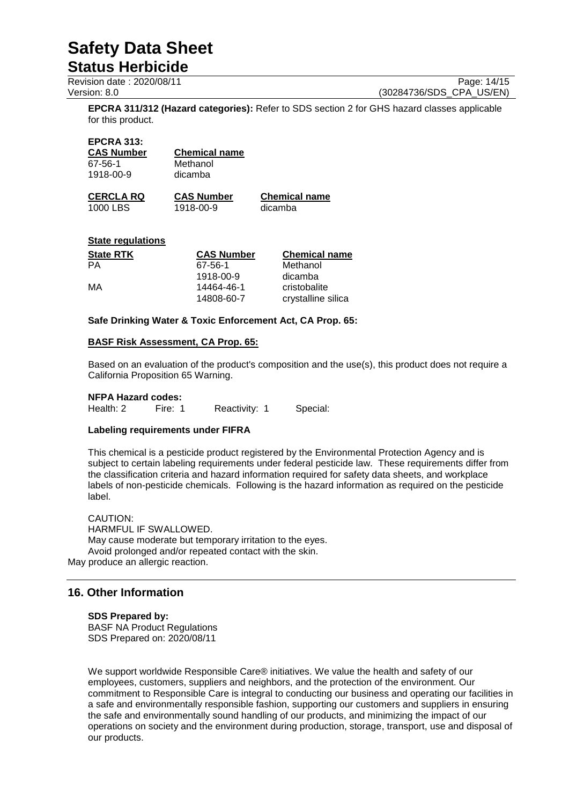## **Status Herbicide**

Revision date : 2020/08/11 Page: 14/15<br>Version: 8.0 (30284736/SDS\_CPA\_US/EN)

(30284736/SDS CPA US/EN)

**EPCRA 311/312 (Hazard categories):** Refer to SDS section 2 for GHS hazard classes applicable for this product.

#### **EPCRA 313:**

| CAS Number | <b>Chemical name</b> |
|------------|----------------------|
| 67-56-1    | Methanol             |
| 1918-00-9  | dicamba              |
|            |                      |

**CERCLA RQ CAS Number Chemical name** 1918-00-9

#### **State regulations**

| <b>State RTK</b> | <b>CAS Number</b> | <b>Chemical name</b> |
|------------------|-------------------|----------------------|
| PА               | 67-56-1           | Methanol             |
|                  | 1918-00-9         | dicamba              |
| MA               | 14464-46-1        | cristobalite         |
|                  | 14808-60-7        | crystalline silica   |

#### **Safe Drinking Water & Toxic Enforcement Act, CA Prop. 65:**

#### **BASF Risk Assessment, CA Prop. 65:**

Based on an evaluation of the product's composition and the use(s), this product does not require a California Proposition 65 Warning.

## **NFPA Hazard codes:**

Reactivity: 1 Special:

### **Labeling requirements under FIFRA**

This chemical is a pesticide product registered by the Environmental Protection Agency and is subject to certain labeling requirements under federal pesticide law. These requirements differ from the classification criteria and hazard information required for safety data sheets, and workplace labels of non-pesticide chemicals. Following is the hazard information as required on the pesticide label.

CAUTION: HARMFUL IF SWALLOWED. May cause moderate but temporary irritation to the eyes. Avoid prolonged and/or repeated contact with the skin. May produce an allergic reaction.

## **16. Other Information**

**SDS Prepared by:**  BASF NA Product Regulations SDS Prepared on: 2020/08/11

We support worldwide Responsible Care® initiatives. We value the health and safety of our employees, customers, suppliers and neighbors, and the protection of the environment. Our commitment to Responsible Care is integral to conducting our business and operating our facilities in a safe and environmentally responsible fashion, supporting our customers and suppliers in ensuring the safe and environmentally sound handling of our products, and minimizing the impact of our operations on society and the environment during production, storage, transport, use and disposal of our products.